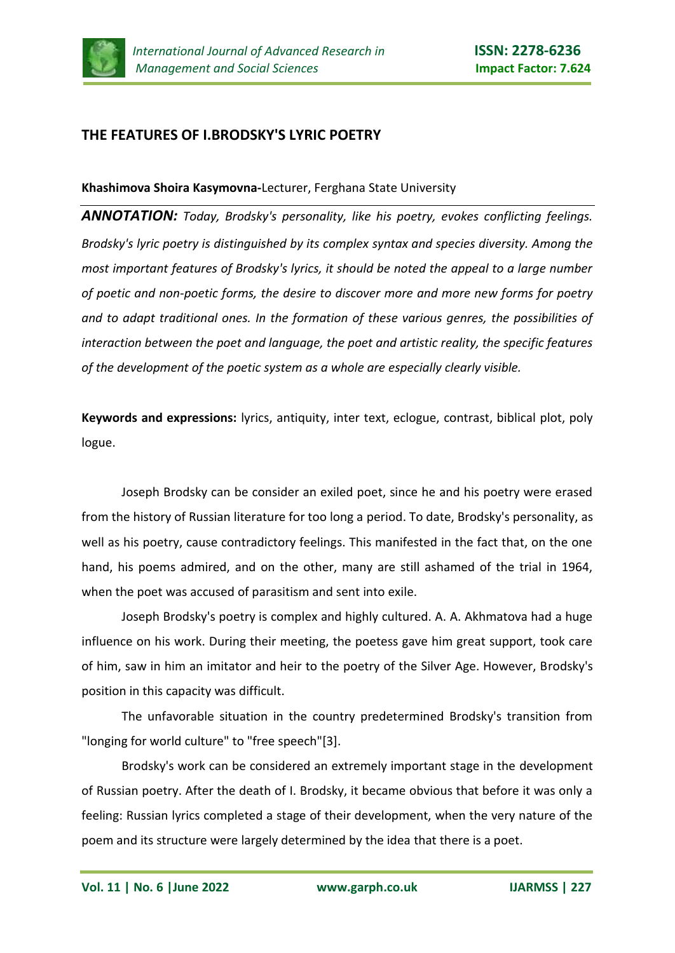

## **THE FEATURES OF I.BRODSKY'S LYRIC POETRY**

## **Khashimova Shoira Kasymovna-**Lecturer, Ferghana State University

*ANNOTATION: Today, Brodsky's personality, like his poetry, evokes conflicting feelings. Brodsky's lyric poetry is distinguished by its complex syntax and species diversity. Among the most important features of Brodsky's lyrics, it should be noted the appeal to a large number of poetic and non-poetic forms, the desire to discover more and more new forms for poetry and to adapt traditional ones. In the formation of these various genres, the possibilities of interaction between the poet and language, the poet and artistic reality, the specific features of the development of the poetic system as a whole are especially clearly visible.*

**Keywords and expressions:** lyrics, antiquity, inter text, eclogue, contrast, biblical plot, poly logue.

Joseph Brodsky can be consider an exiled poet, since he and his poetry were erased from the history of Russian literature for too long a period. To date, Brodsky's personality, as well as his poetry, cause contradictory feelings. This manifested in the fact that, on the one hand, his poems admired, and on the other, many are still ashamed of the trial in 1964, when the poet was accused of parasitism and sent into exile.

Joseph Brodsky's poetry is complex and highly cultured. A. A. Akhmatova had a huge influence on his work. During their meeting, the poetess gave him great support, took care of him, saw in him an imitator and heir to the poetry of the Silver Age. However, Brodsky's position in this capacity was difficult.

The unfavorable situation in the country predetermined Brodsky's transition from "longing for world culture" to "free speech"[3].

Brodsky's work can be considered an extremely important stage in the development of Russian poetry. After the death of I. Brodsky, it became obvious that before it was only a feeling: Russian lyrics completed a stage of their development, when the very nature of the poem and its structure were largely determined by the idea that there is a poet.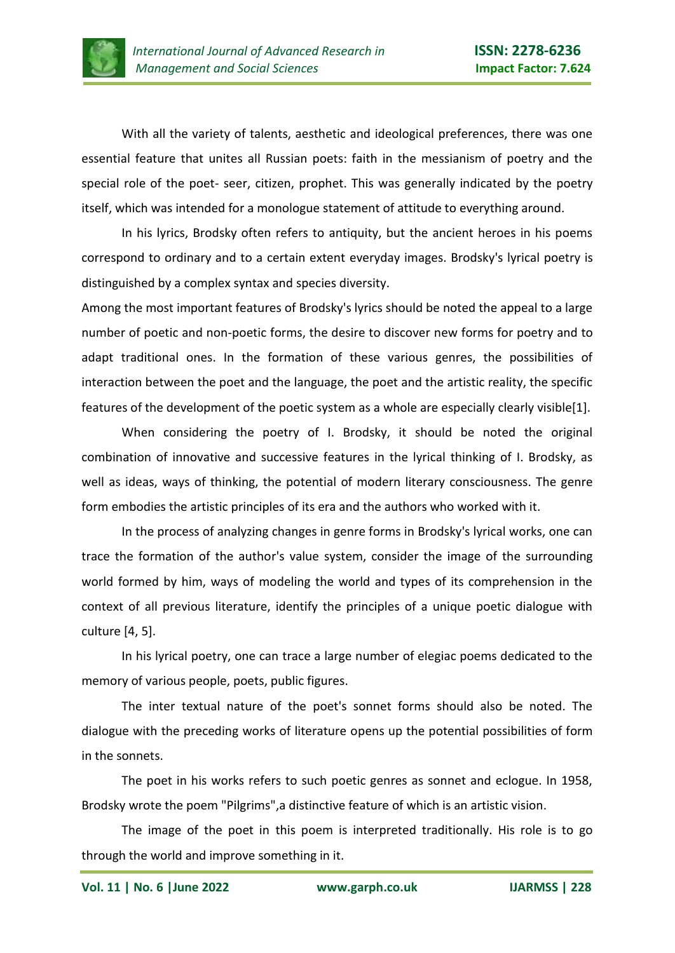

With all the variety of talents, aesthetic and ideological preferences, there was one essential feature that unites all Russian poets: faith in the messianism of poetry and the special role of the poet- seer, citizen, prophet. This was generally indicated by the poetry itself, which was intended for a monologue statement of attitude to everything around.

In his lyrics, Brodsky often refers to antiquity, but the ancient heroes in his poems correspond to ordinary and to a certain extent everyday images. Brodsky's lyrical poetry is distinguished by a complex syntax and species diversity.

Among the most important features of Brodsky's lyrics should be noted the appeal to a large number of poetic and non-poetic forms, the desire to discover new forms for poetry and to adapt traditional ones. In the formation of these various genres, the possibilities of interaction between the poet and the language, the poet and the artistic reality, the specific features of the development of the poetic system as a whole are especially clearly visible[1].

When considering the poetry of I. Brodsky, it should be noted the original combination of innovative and successive features in the lyrical thinking of I. Brodsky, as well as ideas, ways of thinking, the potential of modern literary consciousness. The genre form embodies the artistic principles of its era and the authors who worked with it.

In the process of analyzing changes in genre forms in Brodsky's lyrical works, one can trace the formation of the author's value system, consider the image of the surrounding world formed by him, ways of modeling the world and types of its comprehension in the context of all previous literature, identify the principles of a unique poetic dialogue with culture [4, 5].

In his lyrical poetry, one can trace a large number of elegiac poems dedicated to the memory of various people, poets, public figures.

The inter textual nature of the poet's sonnet forms should also be noted. The dialogue with the preceding works of literature opens up the potential possibilities of form in the sonnets.

The poet in his works refers to such poetic genres as sonnet and eclogue. In 1958, Brodsky wrote the poem "Pilgrims",a distinctive feature of which is an artistic vision.

The image of the poet in this poem is interpreted traditionally. His role is to go through the world and improve something in it.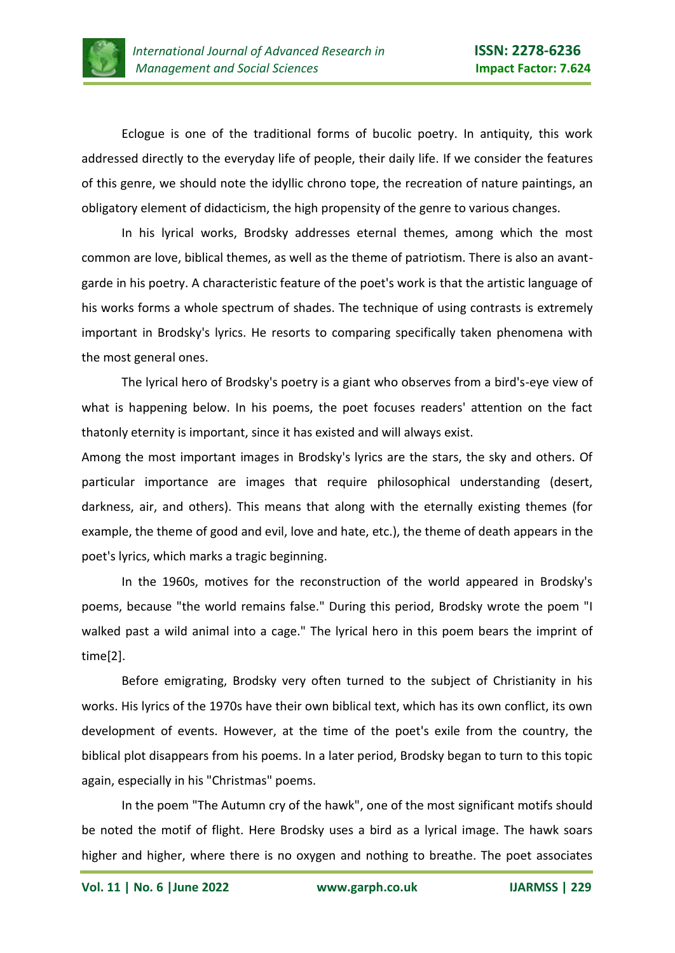

Eclogue is one of the traditional forms of bucolic poetry. In antiquity, this work addressed directly to the everyday life of people, their daily life. If we consider the features of this genre, we should note the idyllic chrono tope, the recreation of nature paintings, an obligatory element of didacticism, the high propensity of the genre to various changes.

In his lyrical works, Brodsky addresses eternal themes, among which the most common are love, biblical themes, as well as the theme of patriotism. There is also an avantgarde in his poetry. A characteristic feature of the poet's work is that the artistic language of his works forms a whole spectrum of shades. The technique of using contrasts is extremely important in Brodsky's lyrics. He resorts to comparing specifically taken phenomena with the most general ones.

The lyrical hero of Brodsky's poetry is a giant who observes from a bird's-eye view of what is happening below. In his poems, the poet focuses readers' attention on the fact thatonly eternity is important, since it has existed and will always exist.

Among the most important images in Brodsky's lyrics are the stars, the sky and others. Of particular importance are images that require philosophical understanding (desert, darkness, air, and others). This means that along with the eternally existing themes (for example, the theme of good and evil, love and hate, etc.), the theme of death appears in the poet's lyrics, which marks a tragic beginning.

In the 1960s, motives for the reconstruction of the world appeared in Brodsky's poems, because "the world remains false." During this period, Brodsky wrote the poem "I walked past a wild animal into a cage." The lyrical hero in this poem bears the imprint of time[2].

Before emigrating, Brodsky very often turned to the subject of Christianity in his works. His lyrics of the 1970s have their own biblical text, which has its own conflict, its own development of events. However, at the time of the poet's exile from the country, the biblical plot disappears from his poems. In a later period, Brodsky began to turn to this topic again, especially in his "Christmas" poems.

In the poem "The Autumn cry of the hawk", one of the most significant motifs should be noted the motif of flight. Here Brodsky uses a bird as a lyrical image. The hawk soars higher and higher, where there is no oxygen and nothing to breathe. The poet associates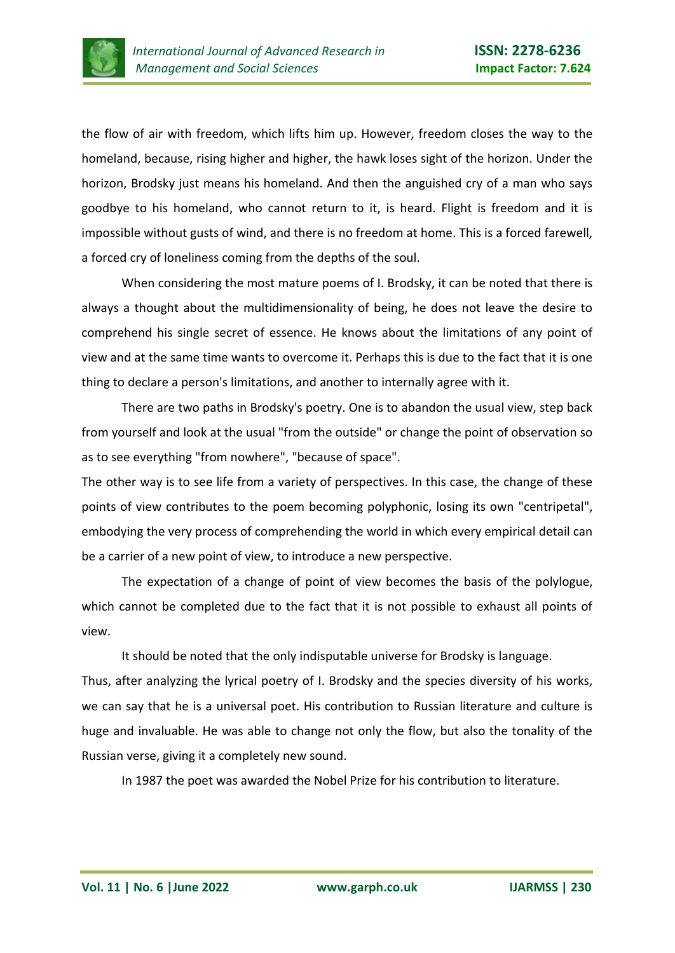

the flow of air with freedom, which lifts him up. However, freedom closes the way to the homeland, because, rising higher and higher, the hawk loses sight of the horizon. Under the horizon, Brodsky just means his homeland. And then the anguished cry of a man who says goodbye to his homeland, who cannot return to it, is heard. Flight is freedom and it is impossible without gusts of wind, and there is no freedom at home. This is a forced farewell, a forced cry of loneliness coming from the depths of the soul.

When considering the most mature poems of I. Brodsky, it can be noted that there is always a thought about the multidimensionality of being, he does not leave the desire to comprehend his single secret of essence. He knows about the limitations of any point of view and at the same time wants to overcome it. Perhaps this is due to the fact that it is one thing to declare a person's limitations, and another to internally agree with it.

There are two paths in Brodsky's poetry. One is to abandon the usual view, step back from yourself and look at the usual "from the outside" or change the point of observation so as to see everything "from nowhere", "because of space".

The other way is to see life from a variety of perspectives. In this case, the change of these points of view contributes to the poem becoming polyphonic, losing its own "centripetal", embodying the very process of comprehending the world in which every empirical detail can be a carrier of a new point of view, to introduce a new perspective.

The expectation of a change of point of view becomes the basis of the polylogue, which cannot be completed due to the fact that it is not possible to exhaust all points of view.

It should be noted that the only indisputable universe for Brodsky is language. Thus, after analyzing the lyrical poetry of I. Brodsky and the species diversity of his works, we can say that he is a universal poet. His contribution to Russian literature and culture is huge and invaluable. He was able to change not only the flow, but also the tonality of the Russian verse, giving it a completely new sound.

In 1987 the poet was awarded the Nobel Prize for his contribution to literature.